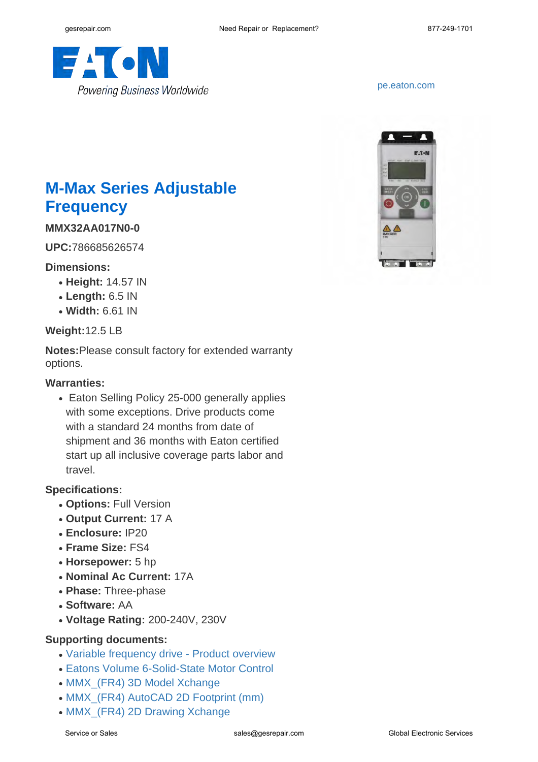

<pe.eaton.com>



# **M-Max Series Adjustable Frequency**

**MMX32AA017N0-0**

**UPC:**786685626574

## **Dimensions:**

- **Height:** 14.57 IN
- **Length:** 6.5 IN
- **Width:** 6.61 IN

#### **Weight:**12.5 LB

**Notes:**Please consult factory for extended warranty options.

#### **Warranties:**

• Eaton Selling Policy 25-000 generally applies with some exceptions. Drive products come with a standard 24 months from date of shipment and 36 months with Eaton certified start up all inclusive coverage parts labor and travel.

## **Specifications:**

- **Options:** Full Version
- **Output Current:** 17 A
- **Enclosure:** IP20
- **Frame Size:** FS4
- **Horsepower:** 5 hp
- **Nominal Ac Current:** 17A
- **Phase:** Three-phase
- **Software:** AA
- **Voltage Rating:** 200-240V, 230V

## **Supporting documents:**

- [Variable frequency drive Product overview](http://www.eaton.com/ecm/idcplg?IdcService=GET_FILE&allowInterrupt=1&RevisionSelectionMethod=LatestReleased&noSaveAs=0&Rendition=Primary&dDocName=BR040002EN)
- [Eatons Volume 6-Solid-State Motor Control](http://www.eaton.com/ecm/idcplg?IdcService=GET_FILE&allowInterrupt=1&RevisionSelectionMethod=LatestReleased&Rendition=Primary&dDocName=CA08100007E)
- MMX (FR4) 3D Model Xchange
- [MMX\\_\(FR4\) AutoCAD 2D Footprint \(mm\)](http://www.eaton.com/ecm/idcplg?IdcService=GET_FILE&allowInterrupt=1&RevisionSelectionMethod=LatestReleased&noSaveAs=0&Rendition=Primary&dDocName=MMX_(FR4)(mm).DWG_29166)
- [MMX\\_\(FR4\) 2D Drawing Xchange](http://www.eaton.com/ecm/idcplg?IdcService=GET_FILE&allowInterrupt=1&RevisionSelectionMethod=LatestReleased&noSaveAs=0&Rendition=Primary&dDocName=MMX_(FR4).dxf_37288)